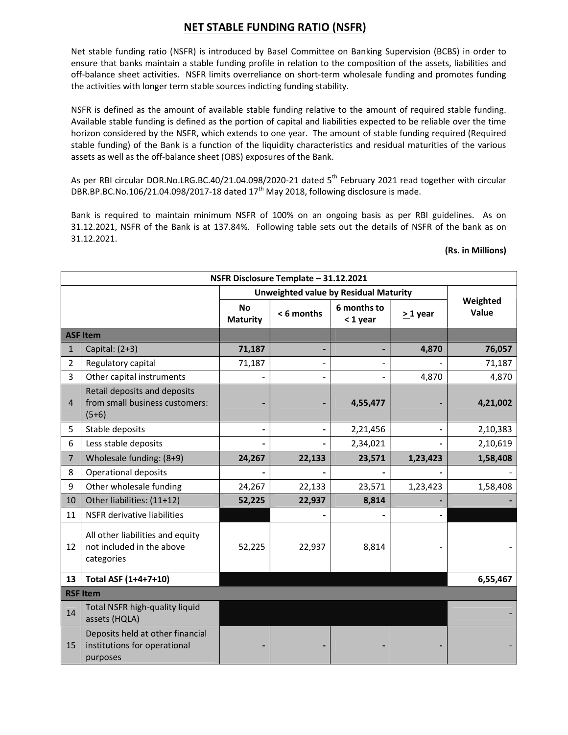## NET STABLE FUNDING RATIO (NSFR)

Net stable funding ratio (NSFR) is introduced by Basel Committee on Banking Supervision (BCBS) in order to ensure that banks maintain a stable funding profile in relation to the composition of the assets, liabilities and off-balance sheet activities. NSFR limits overreliance on short-term wholesale funding and promotes funding the activities with longer term stable sources indicting funding stability.

NSFR is defined as the amount of available stable funding relative to the amount of required stable funding. Available stable funding is defined as the portion of capital and liabilities expected to be reliable over the time horizon considered by the NSFR, which extends to one year. The amount of stable funding required (Required stable funding) of the Bank is a function of the liquidity characteristics and residual maturities of the various assets as well as the off-balance sheet (OBS) exposures of the Bank.

As per RBI circular DOR.No.LRG.BC.40/21.04.098/2020-21 dated 5<sup>th</sup> February 2021 read together with circular DBR.BP.BC.No.106/21.04.098/2017-18 dated  $17<sup>th</sup>$  May 2018, following disclosure is made.

Bank is required to maintain minimum NSFR of 100% on an ongoing basis as per RBI guidelines. As on 31.12.2021, NSFR of the Bank is at 137.84%. Following table sets out the details of NSFR of the bank as on 31.12.2021.

## (Rs. in Millions)

| NSFR Disclosure Template - 31.12.2021 |                                                                              |                                       |           |                         |                          |                   |  |  |
|---------------------------------------|------------------------------------------------------------------------------|---------------------------------------|-----------|-------------------------|--------------------------|-------------------|--|--|
|                                       |                                                                              | Unweighted value by Residual Maturity |           |                         |                          |                   |  |  |
|                                       |                                                                              | <b>No</b><br><b>Maturity</b>          | <6 months | 6 months to<br>< 1 year | $>1$ year                | Weighted<br>Value |  |  |
| <b>ASF Item</b>                       |                                                                              |                                       |           |                         |                          |                   |  |  |
| $\mathbf{1}$                          | Capital: $(2+3)$                                                             | 71,187                                |           |                         | 4,870                    | 76,057            |  |  |
| $\overline{2}$                        | Regulatory capital                                                           | 71,187                                |           |                         |                          | 71,187            |  |  |
| 3                                     | Other capital instruments                                                    |                                       |           |                         | 4,870                    | 4,870             |  |  |
| $\overline{4}$                        | Retail deposits and deposits<br>from small business customers:<br>$(5+6)$    |                                       |           | 4,55,477                |                          | 4,21,002          |  |  |
| 5                                     | Stable deposits                                                              |                                       |           | 2,21,456                | $\overline{\phantom{0}}$ | 2,10,383          |  |  |
| 6                                     | Less stable deposits                                                         |                                       |           | 2,34,021                |                          | 2,10,619          |  |  |
| $\overline{7}$                        | Wholesale funding: (8+9)                                                     | 24,267                                | 22,133    | 23,571                  | 1,23,423                 | 1,58,408          |  |  |
| 8                                     | Operational deposits                                                         |                                       |           |                         |                          |                   |  |  |
| 9                                     | Other wholesale funding                                                      | 24,267                                | 22,133    | 23,571                  | 1,23,423                 | 1,58,408          |  |  |
| 10                                    | Other liabilities: (11+12)                                                   | 52,225                                | 22,937    | 8,814                   |                          |                   |  |  |
| 11                                    | NSFR derivative liabilities                                                  |                                       |           |                         |                          |                   |  |  |
| 12                                    | All other liabilities and equity<br>not included in the above<br>categories  | 52,225                                | 22,937    | 8,814                   |                          |                   |  |  |
| 13                                    | Total ASF (1+4+7+10)                                                         |                                       |           |                         |                          | 6,55,467          |  |  |
| <b>RSF Item</b>                       |                                                                              |                                       |           |                         |                          |                   |  |  |
| 14                                    | Total NSFR high-quality liquid<br>assets (HQLA)                              |                                       |           |                         |                          |                   |  |  |
| 15                                    | Deposits held at other financial<br>institutions for operational<br>purposes |                                       |           |                         |                          |                   |  |  |